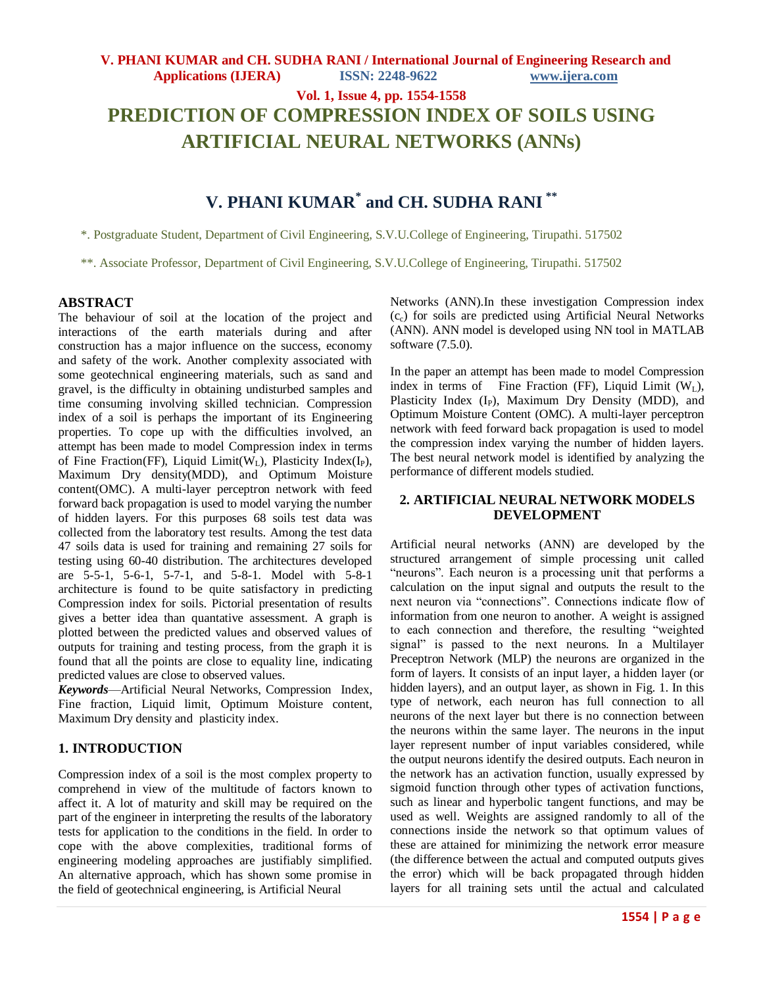**Vol. 1, Issue 4, pp. 1554-1558 PREDICTION OF COMPRESSION INDEX OF SOILS USING ARTIFICIAL NEURAL NETWORKS (ANNs)**

# **V. PHANI KUMAR\* and CH. SUDHA RANI \*\***

\*. Postgraduate Student, Department of Civil Engineering, S.V.U.College of Engineering, Tirupathi. 517502

\*\*. Associate Professor, Department of Civil Engineering, S.V.U.College of Engineering, Tirupathi. 517502

### **ABSTRACT**

The behaviour of soil at the location of the project and interactions of the earth materials during and after construction has a major influence on the success, economy and safety of the work. Another complexity associated with some geotechnical engineering materials, such as sand and gravel, is the difficulty in obtaining undisturbed samples and time consuming involving skilled technician. Compression index of a soil is perhaps the important of its Engineering properties. To cope up with the difficulties involved, an attempt has been made to model Compression index in terms of Fine Fraction(FF), Liquid Limit( $W<sub>L</sub>$ ), Plasticity Index(I<sub>P</sub>), Maximum Dry density(MDD), and Optimum Moisture content(OMC). A multi-layer perceptron network with feed forward back propagation is used to model varying the number of hidden layers. For this purposes 68 soils test data was collected from the laboratory test results. Among the test data 47 soils data is used for training and remaining 27 soils for testing using 60-40 distribution. The architectures developed are 5-5-1, 5-6-1, 5-7-1, and 5-8-1. Model with 5-8-1 architecture is found to be quite satisfactory in predicting Compression index for soils. Pictorial presentation of results gives a better idea than quantative assessment. A graph is plotted between the predicted values and observed values of outputs for training and testing process, from the graph it is found that all the points are close to equality line, indicating predicted values are close to observed values.

*Keywords*—Artificial Neural Networks, Compression Index, Fine fraction, Liquid limit, Optimum Moisture content, Maximum Dry density and plasticity index.

### **1. INTRODUCTION**

Compression index of a soil is the most complex property to comprehend in view of the multitude of factors known to affect it. A lot of maturity and skill may be required on the part of the engineer in interpreting the results of the laboratory tests for application to the conditions in the field. In order to cope with the above complexities, traditional forms of engineering modeling approaches are justifiably simplified. An alternative approach, which has shown some promise in the field of geotechnical engineering, is Artificial Neural

Networks (ANN).In these investigation Compression index  $(c<sub>c</sub>)$  for soils are predicted using Artificial Neural Networks (ANN). ANN model is developed using NN tool in MATLAB software (7.5.0).

In the paper an attempt has been made to model Compression index in terms of Fine Fraction (FF), Liquid Limit  $(W_L)$ , Plasticity Index (I<sub>P</sub>), Maximum Dry Density (MDD), and Optimum Moisture Content (OMC). A multi-layer perceptron network with feed forward back propagation is used to model the compression index varying the number of hidden layers. The best neural network model is identified by analyzing the performance of different models studied.

# **2. ARTIFICIAL NEURAL NETWORK MODELS DEVELOPMENT**

Artificial neural networks (ANN) are developed by the structured arrangement of simple processing unit called "neurons". Each neuron is a processing unit that performs a calculation on the input signal and outputs the result to the next neuron via "connections". Connections indicate flow of information from one neuron to another. A weight is assigned to each connection and therefore, the resulting "weighted signal" is passed to the next neurons. In a Multilayer Preceptron Network (MLP) the neurons are organized in the form of layers. It consists of an input layer, a hidden layer (or hidden layers), and an output layer, as shown in Fig. 1. In this type of network, each neuron has full connection to all neurons of the next layer but there is no connection between the neurons within the same layer. The neurons in the input layer represent number of input variables considered, while the output neurons identify the desired outputs. Each neuron in the network has an activation function, usually expressed by sigmoid function through other types of activation functions, such as linear and hyperbolic tangent functions, and may be used as well. Weights are assigned randomly to all of the connections inside the network so that optimum values of these are attained for minimizing the network error measure (the difference between the actual and computed outputs gives the error) which will be back propagated through hidden layers for all training sets until the actual and calculated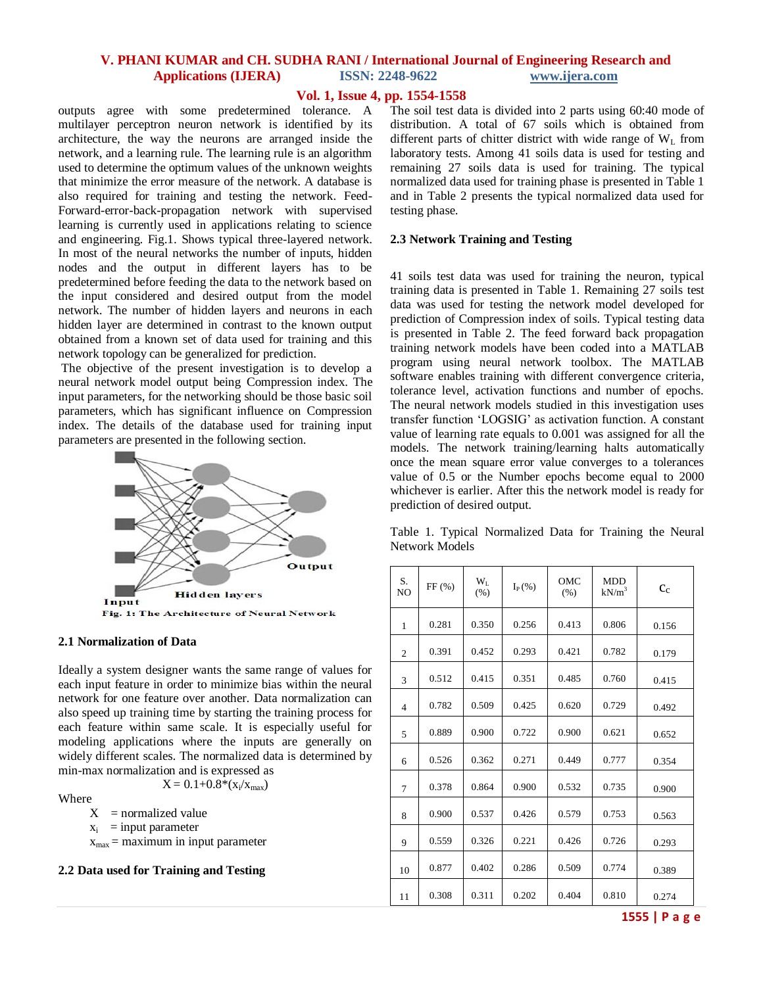#### **Vol. 1, Issue 4, pp. 1554-1558**

outputs agree with some predetermined tolerance. A multilayer perceptron neuron network is identified by its architecture, the way the neurons are arranged inside the network, and a learning rule. The learning rule is an algorithm used to determine the optimum values of the unknown weights that minimize the error measure of the network. A database is also required for training and testing the network. Feed-Forward-error-back-propagation network with supervised learning is currently used in applications relating to science and engineering. Fig.1. Shows typical three-layered network. In most of the neural networks the number of inputs, hidden nodes and the output in different layers has to be predetermined before feeding the data to the network based on the input considered and desired output from the model network. The number of hidden layers and neurons in each hidden layer are determined in contrast to the known output obtained from a known set of data used for training and this network topology can be generalized for prediction.

The objective of the present investigation is to develop a neural network model output being Compression index. The input parameters, for the networking should be those basic soil parameters, which has significant influence on Compression index. The details of the database used for training input parameters are presented in the following section.



#### **2.1 Normalization of Data**

Ideally a system designer wants the same range of values for each input feature in order to minimize bias within the neural network for one feature over another. Data normalization can also speed up training time by starting the training process for each feature within same scale. It is especially useful for modeling applications where the inputs are generally on widely different scales. The normalized data is determined by min-max normalization and is expressed as

 $X = 0.1 + 0.8*(x_i/x_{max})$ 

Where

 $X =$  normalized value

 $x_i$  = input parameter

 $x_{\text{max}}$  = maximum in input parameter

**2.2 Data used for Training and Testing**

The soil test data is divided into 2 parts using 60:40 mode of distribution. A total of 67 soils which is obtained from different parts of chitter district with wide range of  $W_L$  from laboratory tests. Among 41 soils data is used for testing and remaining 27 soils data is used for training. The typical normalized data used for training phase is presented in Table 1 and in Table 2 presents the typical normalized data used for testing phase.

#### **2.3 Network Training and Testing**

41 soils test data was used for training the neuron, typical training data is presented in Table 1. Remaining 27 soils test data was used for testing the network model developed for prediction of Compression index of soils. Typical testing data is presented in Table 2. The feed forward back propagation training network models have been coded into a MATLAB program using neural network toolbox. The MATLAB software enables training with different convergence criteria, tolerance level, activation functions and number of epochs. The neural network models studied in this investigation uses transfer function ‗LOGSIG' as activation function. A constant value of learning rate equals to 0.001 was assigned for all the models. The network training/learning halts automatically once the mean square error value converges to a tolerances value of 0.5 or the Number epochs become equal to 2000 whichever is earlier. After this the network model is ready for prediction of desired output.

Table 1. Typical Normalized Data for Training the Neural Network Models

| S.<br>N <sub>O</sub> | FF(%) | $W_L$<br>(% ) | $I_{P}(\%)$ | OMC<br>(% ) | <b>MDD</b><br>$\mathrm{kN/m}^3$ | $c_{c}$ |
|----------------------|-------|---------------|-------------|-------------|---------------------------------|---------|
| $\mathbf{1}$         | 0.281 | 0.350         | 0.256       | 0.413       | 0.806                           | 0.156   |
| $\overline{2}$       | 0.391 | 0.452         | 0.293       | 0.421       | 0.782                           | 0.179   |
| 3                    | 0.512 | 0.415         | 0.351       | 0.485       | 0.760                           | 0.415   |
| 4                    | 0.782 | 0.509         | 0.425       | 0.620       | 0.729                           | 0.492   |
| 5                    | 0.889 | 0.900         | 0.722       | 0.900       | 0.621                           | 0.652   |
| 6                    | 0.526 | 0.362         | 0.271       | 0.449       | 0.777                           | 0.354   |
| 7                    | 0.378 | 0.864         | 0.900       | 0.532       | 0.735                           | 0.900   |
| 8                    | 0.900 | 0.537         | 0.426       | 0.579       | 0.753                           | 0.563   |
| 9                    | 0.559 | 0.326         | 0.221       | 0.426       | 0.726                           | 0.293   |
| 10                   | 0.877 | 0.402         | 0.286       | 0.509       | 0.774                           | 0.389   |
| 11                   | 0.308 | 0.311         | 0.202       | 0.404       | 0.810                           | 0.274   |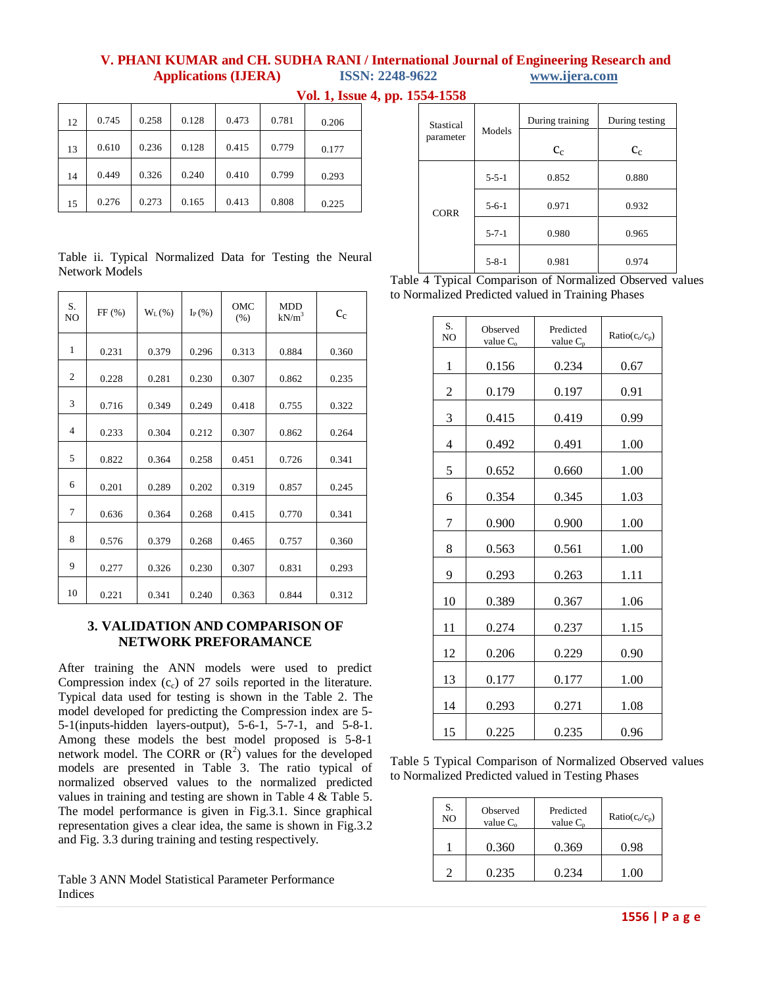| 12 | 0.745 | 0.258 | 0.128 | 0.473 | 0.781 | 0.206 |
|----|-------|-------|-------|-------|-------|-------|
| 13 | 0.610 | 0.236 | 0.128 | 0.415 | 0.779 | 0.177 |
| 14 | 0.449 | 0.326 | 0.240 | 0.410 | 0.799 | 0.293 |
| 15 | 0.276 | 0.273 | 0.165 | 0.413 | 0.808 | 0.225 |

**Vol. 1, Issue 4, pp. 1554-1558**

### Table ii. Typical Normalized Data for Testing the Neural Network Models

| S.<br>N <sub>O</sub> | FF(%) | $W_L$ (%) | $I_{P}(\%)$ | OMC<br>(% ) | MDD<br>$kN/m^3$ | $c_c$ |
|----------------------|-------|-----------|-------------|-------------|-----------------|-------|
| 1                    | 0.231 | 0.379     | 0.296       | 0.313       | 0.884           | 0.360 |
| 2                    | 0.228 | 0.281     | 0.230       | 0.307       | 0.862           | 0.235 |
| 3                    | 0.716 | 0.349     | 0.249       | 0.418       | 0.755           | 0.322 |
| $\overline{4}$       | 0.233 | 0.304     | 0.212       | 0.307       | 0.862           | 0.264 |
| 5                    | 0.822 | 0.364     | 0.258       | 0.451       | 0.726           | 0.341 |
| 6                    | 0.201 | 0.289     | 0.202       | 0.319       | 0.857           | 0.245 |
| 7                    | 0.636 | 0.364     | 0.268       | 0.415       | 0.770           | 0.341 |
| 8                    | 0.576 | 0.379     | 0.268       | 0.465       | 0.757           | 0.360 |
| 9                    | 0.277 | 0.326     | 0.230       | 0.307       | 0.831           | 0.293 |
| 10                   | 0.221 | 0.341     | 0.240       | 0.363       | 0.844           | 0.312 |

# **3. VALIDATION AND COMPARISON OF NETWORK PREFORAMANCE**

After training the ANN models were used to predict Compression index  $(c_c)$  of 27 soils reported in the literature. Typical data used for testing is shown in the Table 2. The model developed for predicting the Compression index are 5- 5-1(inputs-hidden layers-output), 5-6-1, 5-7-1, and 5-8-1. Among these models the best model proposed is 5-8-1 network model. The CORR or  $(R^2)$  values for the developed models are presented in Table 3. The ratio typical of normalized observed values to the normalized predicted values in training and testing are shown in Table 4 & Table 5. The model performance is given in Fig.3.1. Since graphical representation gives a clear idea, the same is shown in Fig.3.2 and Fig. 3.3 during training and testing respectively.

Table 3 ANN Model Statistical Parameter Performance Indices

| Stastical<br>parameter | Models      | During training | During testing |
|------------------------|-------------|-----------------|----------------|
|                        |             | $c_{c}$         | $c_c$          |
|                        | $5 - 5 - 1$ | 0.852           | 0.880          |
| <b>CORR</b>            | $5 - 6 - 1$ | 0.971           | 0.932          |
|                        | $5 - 7 - 1$ | 0.980           | 0.965          |
|                        | $5 - 8 - 1$ | 0.981           | 0.974          |

Table 4 Typical Comparison of Normalized Observed values to Normalized Predicted valued in Training Phases

| S.<br>N <sub>O</sub> | Observed<br>value $C_{\rm o}$ | Predicted<br>value $C_p$ | $Ratio(c_0/c_p)$ |
|----------------------|-------------------------------|--------------------------|------------------|
| $\mathbf{1}$         | 0.156                         | 0.234                    | 0.67             |
| 2                    | 0.179                         | 0.197                    | 0.91             |
| 3                    | 0.415                         | 0.419                    | 0.99             |
| $\overline{4}$       | 0.492                         | 0.491                    | 1.00             |
| 5                    | 0.652                         | 0.660                    | 1.00             |
| 6                    | 0.354                         | 0.345                    | 1.03             |
| $\overline{7}$       | 0.900                         | 0.900                    | 1.00             |
| 8                    | 0.563                         | 0.561                    | 1.00             |
| 9                    | 0.293                         | 0.263                    | 1.11             |
| 10                   | 0.389                         | 0.367                    | 1.06             |
| 11                   | 0.274                         | 0.237                    | 1.15             |
| 12                   | 0.206                         | 0.229                    | 0.90             |
| 13                   | 0.177                         | 0.177                    | 1.00             |
| 14                   | 0.293                         | 0.271                    | 1.08             |
| 15                   | 0.225                         | 0.235                    | 0.96             |

Table 5 Typical Comparison of Normalized Observed values to Normalized Predicted valued in Testing Phases

| S.<br>N <sub>O</sub> | Observed<br>value $C_0$ | Predicted<br>value $C_n$ | $Ratio(c_0/c_p)$ |
|----------------------|-------------------------|--------------------------|------------------|
|                      | 0.360                   | 0.369                    | 0.98             |
|                      | 0.235                   | 0.234                    | - ററ             |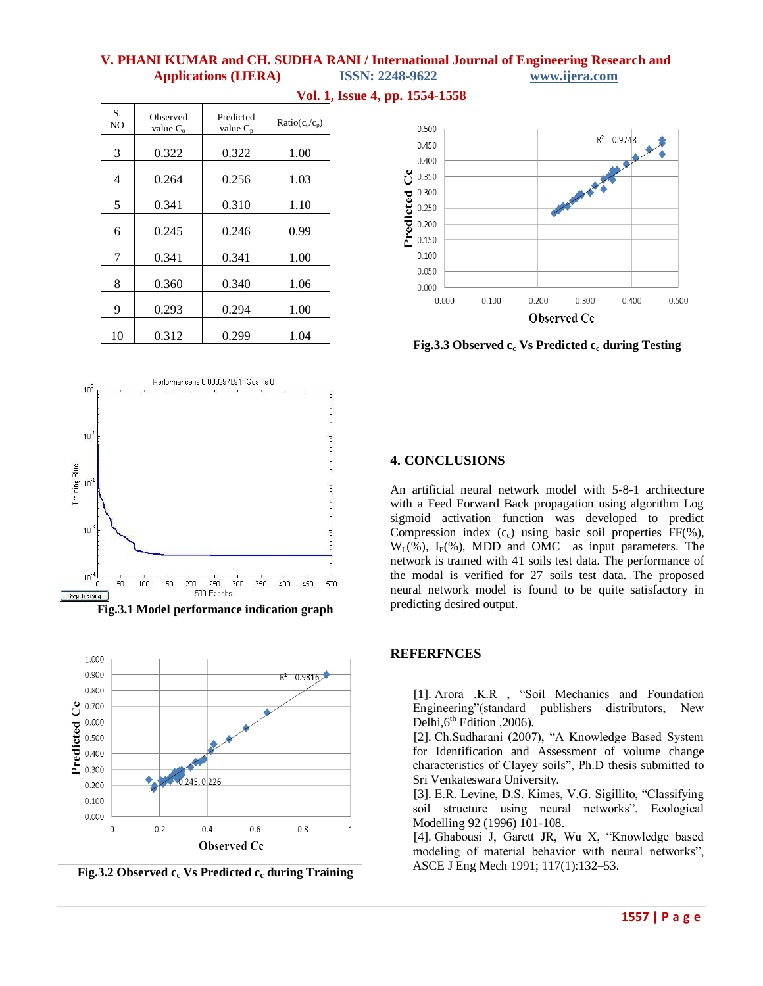| S.<br>NO | Observed<br>value $C_{o}$ | Predicted<br>value $C_n$ | $Ratio(c_0/c_p)$ |
|----------|---------------------------|--------------------------|------------------|
| 3        | 0.322                     | 0.322                    | 1.00             |
| 4        | 0.264                     | 0.256                    | 1.03             |
| 5        | 0.341                     | 0.310                    | 1.10             |
| 6        | 0.245                     | 0.246                    | 0.99             |
| 7        | 0.341                     | 0.341                    | 1.00             |
| 8        | 0.360                     | 0.340                    | 1.06             |
| 9        | 0.293                     | 0.294                    | 1.00             |
| 10       | 0.312                     | 0.299                    | 1.04             |

**Vol. 1, Issue 4, pp. 1554-1558**

0.500  $R^2 = 0.9748$ 0.450  $0.400$ ರೆ 0.350 Predicted 0.300  $0.250$  $0.200$  $0.150$  $0.100$ 0.050  $0.000$  $0.000$  $0.100$  $0.200$ 0.300  $0.400$ 0.500

**Fig.3.3 Observed c<sup>c</sup> Vs Predicted c<sup>c</sup> during Testing**

Observed Cc



**Fig.3.1 Model performance indication graph**



**Fig.3.2 Observed c<sup>c</sup> Vs Predicted c<sup>c</sup> during Training**

# **4. CONCLUSIONS**

An artificial neural network model with 5-8-1 architecture with a Feed Forward Back propagation using algorithm Log sigmoid activation function was developed to predict Compression index  $(c<sub>c</sub>)$  using basic soil properties FF(%),  $W_L(\%)$ ,  $I_P(\%)$ , MDD and OMC as input parameters. The network is trained with 41 soils test data. The performance of the modal is verified for 27 soils test data. The proposed neural network model is found to be quite satisfactory in predicting desired output.

# **REFERFNCES**

[1]. Arora .K.R , "Soil Mechanics and Foundation Engineering"(standard publishers distributors, New Delhi, $6<sup>th</sup>$  Edition , 2006).

[2]. Ch.Sudharani (2007), "A Knowledge Based System for Identification and Assessment of volume change characteristics of Clayey soils", Ph.D thesis submitted to Sri Venkateswara University.

[3]. E.R. Levine, D.S. Kimes, V.G. Sigillito, "Classifying soil structure using neural networks", Ecological Modelling 92 (1996) 101-108.

[4]. Ghabousi J, Garett JR, Wu X, "Knowledge based modeling of material behavior with neural networks", ASCE J Eng Mech 1991; 117(1):132–53.